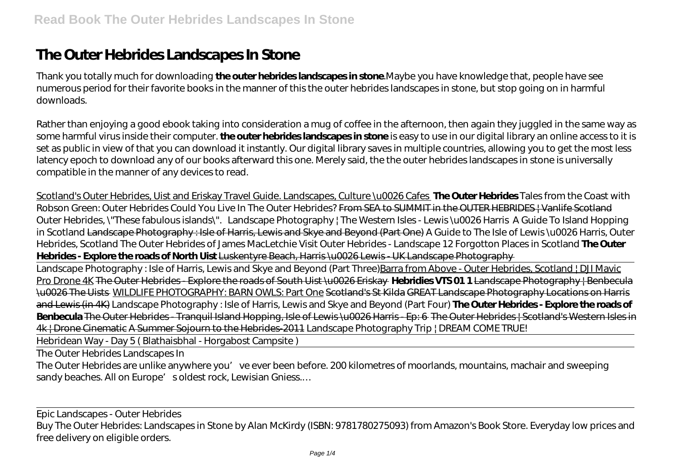## **The Outer Hebrides Landscapes In Stone**

Thank you totally much for downloading **the outer hebrides landscapes in stone**.Maybe you have knowledge that, people have see numerous period for their favorite books in the manner of this the outer hebrides landscapes in stone, but stop going on in harmful downloads.

Rather than enjoying a good ebook taking into consideration a mug of coffee in the afternoon, then again they juggled in the same way as some harmful virus inside their computer. **the outer hebrides landscapes in stone** is easy to use in our digital library an online access to it is set as public in view of that you can download it instantly. Our digital library saves in multiple countries, allowing you to get the most less latency epoch to download any of our books afterward this one. Merely said, the the outer hebrides landscapes in stone is universally compatible in the manner of any devices to read.

Scotland's Outer Hebrides, Uist and Eriskay Travel Guide. Landscapes, Culture \u0026 Cafes **The Outer Hebrides** Tales from the Coast with Robson Green: Outer Hebrides Could You Live In The Outer Hebrides? From SEA to SUMMIT in the OUTER HEBRIDES ! Vanlife Scotland *Outer Hebrides, \"These fabulous islands\". Landscape Photography | The Western Isles - Lewis \u0026 Harris A Guide To Island Hopping in Scotland* Landscape Photography : Isle of Harris, Lewis and Skye and Beyond (Part One) A Guide to The Isle of Lewis \u0026 Harris, Outer Hebrides, Scotland The Outer Hebrides of James MacLetchie Visit Outer Hebrides - Landscape *12 Forgotton Places in Scotland* **The Outer Hebrides - Explore the roads of North Uist** Luskentyre Beach, Harris \u0026 Lewis - UK Landscape Photography

Landscape Photography : Isle of Harris, Lewis and Skye and Beyond (Part Three)Barra from Above - Outer Hebrides, Scotland | DJI Mavic Pro Drone 4K The Outer Hebrides - Explore the roads of South Uist \u0026 Eriskay **Hebridies VTS 01 1** Landscape Photography | Benbecula \u0026 The Uists WILDLIFE PHOTOGRAPHY: BARN OWLS: Part One Scotland's St Kilda GREAT Landscape Photography Locations on Harris and Lewis (in 4K) Landscape Photography : Isle of Harris, Lewis and Skye and Beyond (Part Four) **The Outer Hebrides - Explore the roads of Benbecula** The Outer Hebrides - Tranquil Island Hopping, Isle of Lewis \u0026 Harris - Ep: 6 The Outer Hebrides | Scotland's Western Isles in 4k | Drone Cinematic A Summer Sojourn to the Hebrides-2011 *Landscape Photography Trip | DREAM COME TRUE!*

Hebridean Way - Day 5 ( Blathaisbhal - Horgabost Campsite )

The Outer Hebrides Landscapes In

The Outer Hebrides are unlike anywhere you've ever been before. 200 kilometres of moorlands, mountains, machair and sweeping sandy beaches. All on Europe's oldest rock, Lewisian Gniess...

Epic Landscapes - Outer Hebrides Buy The Outer Hebrides: Landscapes in Stone by Alan McKirdy (ISBN: 9781780275093) from Amazon's Book Store. Everyday low prices and free delivery on eligible orders.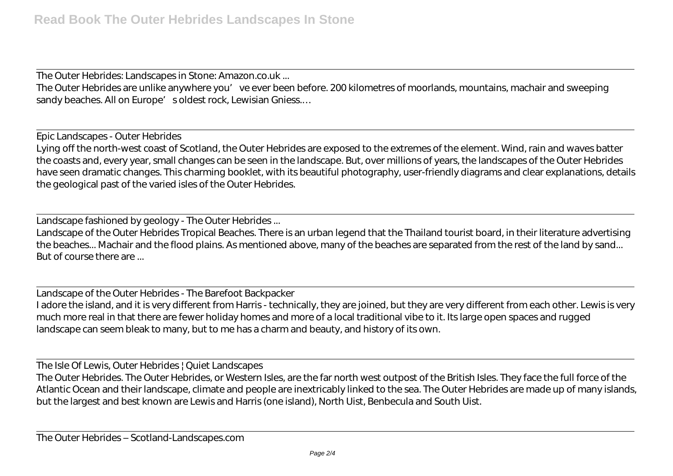The Outer Hebrides: Landscapes in Stone: Amazon.co.uk ...

The Outer Hebrides are unlike anywhere you've ever been before. 200 kilometres of moorlands, mountains, machair and sweeping sandy beaches. All on Europe's oldest rock, Lewisian Gniess...

Epic Landscapes - Outer Hebrides Lying off the north-west coast of Scotland, the Outer Hebrides are exposed to the extremes of the element. Wind, rain and waves batter the coasts and, every year, small changes can be seen in the landscape. But, over millions of years, the landscapes of the Outer Hebrides have seen dramatic changes. This charming booklet, with its beautiful photography, user-friendly diagrams and clear explanations, details the geological past of the varied isles of the Outer Hebrides.

Landscape fashioned by geology - The Outer Hebrides ...

Landscape of the Outer Hebrides Tropical Beaches. There is an urban legend that the Thailand tourist board, in their literature advertising the beaches... Machair and the flood plains. As mentioned above, many of the beaches are separated from the rest of the land by sand... But of course there are ...

Landscape of the Outer Hebrides - The Barefoot Backpacker I adore the island, and it is very different from Harris - technically, they are joined, but they are very different from each other. Lewis is very much more real in that there are fewer holiday homes and more of a local traditional vibe to it. Its large open spaces and rugged landscape can seem bleak to many, but to me has a charm and beauty, and history of its own.

The Isle Of Lewis, Outer Hebrides | Quiet Landscapes

The Outer Hebrides. The Outer Hebrides, or Western Isles, are the far north west outpost of the British Isles. They face the full force of the Atlantic Ocean and their landscape, climate and people are inextricably linked to the sea. The Outer Hebrides are made up of many islands, but the largest and best known are Lewis and Harris (one island), North Uist, Benbecula and South Uist.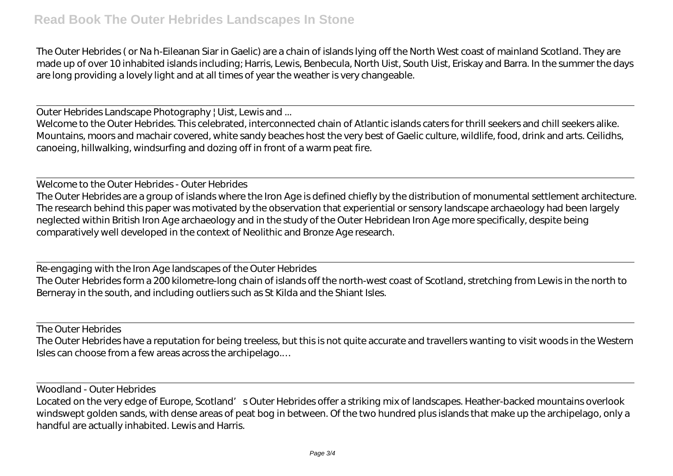The Outer Hebrides ( or Na h-Eileanan Siar in Gaelic) are a chain of islands lying off the North West coast of mainland Scotland. They are made up of over 10 inhabited islands including; Harris, Lewis, Benbecula, North Uist, South Uist, Eriskay and Barra. In the summer the days are long providing a lovely light and at all times of year the weather is very changeable.

Outer Hebrides Landscape Photography | Uist, Lewis and ...

Welcome to the Outer Hebrides. This celebrated, interconnected chain of Atlantic islands caters for thrill seekers and chill seekers alike. Mountains, moors and machair covered, white sandy beaches host the very best of Gaelic culture, wildlife, food, drink and arts. Ceilidhs, canoeing, hillwalking, windsurfing and dozing off in front of a warm peat fire.

Welcome to the Outer Hebrides - Outer Hebrides The Outer Hebrides are a group of islands where the Iron Age is defined chiefly by the distribution of monumental settlement architecture. The research behind this paper was motivated by the observation that experiential or sensory landscape archaeology had been largely neglected within British Iron Age archaeology and in the study of the Outer Hebridean Iron Age more specifically, despite being comparatively well developed in the context of Neolithic and Bronze Age research.

Re-engaging with the Iron Age landscapes of the Outer Hebrides The Outer Hebrides form a 200 kilometre-long chain of islands off the north-west coast of Scotland, stretching from Lewis in the north to Berneray in the south, and including outliers such as St Kilda and the Shiant Isles.

The Outer Hebrides

The Outer Hebrides have a reputation for being treeless, but this is not quite accurate and travellers wanting to visit woods in the Western Isles can choose from a few areas across the archipelago.…

Woodland - Outer Hebrides

Located on the very edge of Europe, Scotland's Outer Hebrides offer a striking mix of landscapes. Heather-backed mountains overlook windswept golden sands, with dense areas of peat bog in between. Of the two hundred plus islands that make up the archipelago, only a handful are actually inhabited. Lewis and Harris.